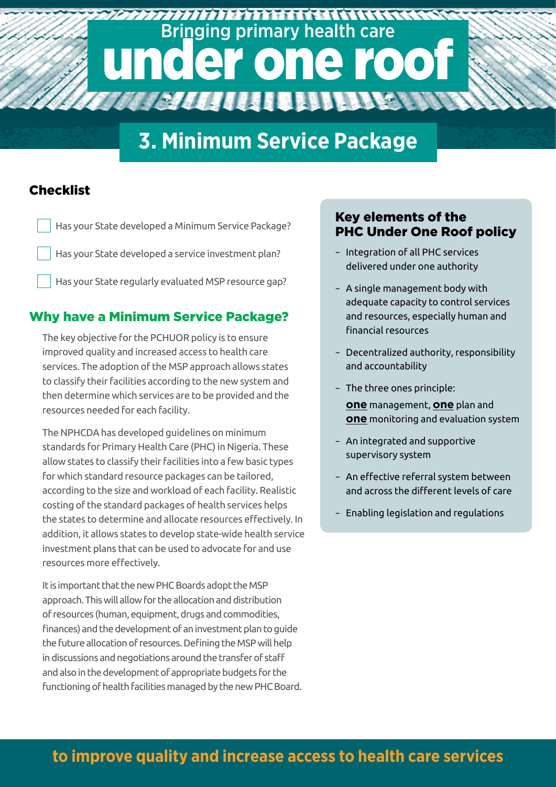# 7777777777777777777777777777777777777 Bringing primary health care under one roof

## **3. Minimum Service Package**

#### **Checklist**

Has your State developed a Minimum Service Package? Has your State developed a service investment plan? Has your State regularly evaluated MSP resource gap?

#### Why have a Minimum Service Package?

The key objective for the PCHUOR policy is to ensure improved quality and increased access to health care services. The adoption of the MSP approach allows states to classify their facilities according to the new system and then determine which services are to be provided and the resources needed for each facility.

The NPHCDA has developed guidelines on minimum standards for Primary Health Care (PHC) in Nigeria. These allow states to classify their facilities into a few basic types for which standard resource packages can be tailored, according to the size and workload of each facility. Realistic costing of the standard packages of health services helps the states to determine and allocate resources effectively. In addition, it allows states to develop state-wide health service investment plans that can be used to advocate for and use resources more effectively.

It is important that the new PHC Boards adopt the MSP approach. This will allow for the allocation and distribution of resources (human, equipment, drugs and commodities, finances) and the development of an investment plan to guide the future allocation of resources. Defining the MSP will help in discussions and negotiations around the transfer of staff and also in the development of appropriate budgets for the functioning of health facilities managed by the new PHC Board.

#### Key elements of the PHC Under One Roof policy

- Integration of all PHC services delivered under one authority
- A single management body with adequate capacity to control services and resources, especially human and financial resources
- Decentralized authority, responsibility and accountability
- The three ones principle:

**one** management, **one** plan and **one** monitoring and evaluation system

- An integrated and supportive supervisory system
- An effective referral system between and across the different levels of care
- Enabling legislation and regulations

### **to improve quality and increase access to health care services**